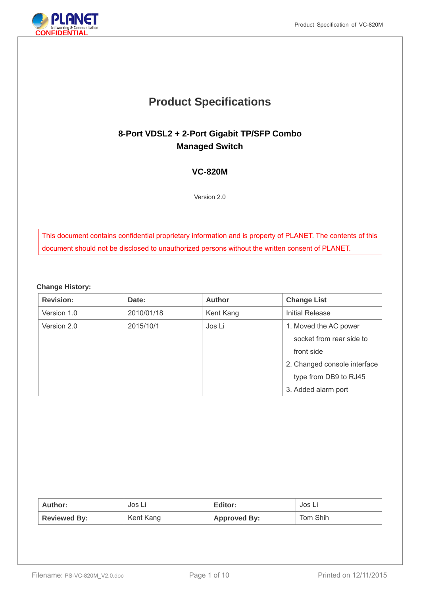# **Product Specifications**

## **8-Port VDSL2 + 2-Port Gigabit TP/SFP Combo Managed Switch**

## **VC-820M**

Version 2.0

This document contains confidential proprietary information and is property of PLANET. The contents of this document should not be disclosed to unauthorized persons without the written consent of PLANET.

#### **Change History:**

| <b>Revision:</b> | Date:      | <b>Author</b> | <b>Change List</b>           |
|------------------|------------|---------------|------------------------------|
| Version 1.0      | 2010/01/18 | Kent Kang     | <b>Initial Release</b>       |
| Version 2.0      | 2015/10/1  | Jos Li        | 1. Moved the AC power        |
|                  |            |               | socket from rear side to     |
|                  |            |               | front side                   |
|                  |            |               | 2. Changed console interface |
|                  |            |               | type from DB9 to RJ45        |
|                  |            |               | 3. Added alarm port          |

| Author:             | Jos Li    | Editor:             | Jos Li   |
|---------------------|-----------|---------------------|----------|
| <b>Reviewed By:</b> | Kent Kang | <b>Approved By:</b> | Tom Shih |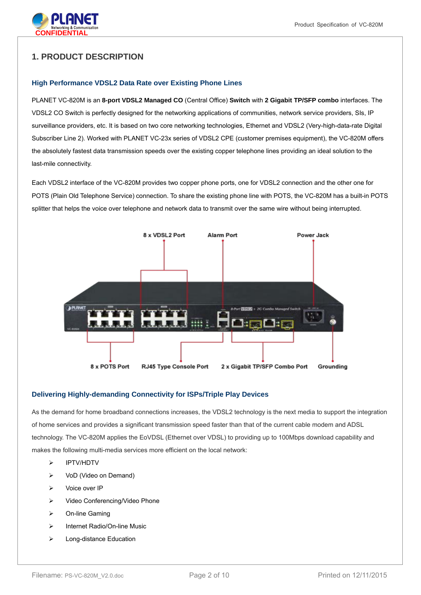

## **1. PRODUCT DESCRIPTION**

#### **High Performance VDSL2 Data Rate over Existing Phone Lines**

PLANET VC-820M is an **8-port VDSL2 Managed CO** (Central Office) **Switch** with **2 Gigabit TP/SFP combo** interfaces. The VDSL2 CO Switch is perfectly designed for the networking applications of communities, network service providers, SIs, IP surveillance providers, etc. It is based on two core networking technologies, Ethernet and VDSL2 (Very-high-data-rate Digital Subscriber Line 2). Worked with PLANET VC-23x series of VDSL2 CPE (customer premises equipment), the VC-820M offers the absolutely fastest data transmission speeds over the existing copper telephone lines providing an ideal solution to the last-mile connectivity.

Each VDSL2 interface of the VC-820M provides two copper phone ports, one for VDSL2 connection and the other one for POTS (Plain Old Telephone Service) connection. To share the existing phone line with POTS, the VC-820M has a built-in POTS splitter that helps the voice over telephone and network data to transmit over the same wire without being interrupted.



#### **Delivering Highly-demanding Connectivity for ISPs/Triple Play Devices**

As the demand for home broadband connections increases, the VDSL2 technology is the next media to support the integration of home services and provides a significant transmission speed faster than that of the current cable modem and ADSL technology. The VC-820M applies the EoVDSL (Ethernet over VDSL) to providing up to 100Mbps download capability and makes the following multi-media services more efficient on the local network:

- IPTV/HDTV
- VoD (Video on Demand)
- > Voice over IP
- ▶ Video Conferencing/Video Phone
- On-line Gaming
- $\triangleright$  Internet Radio/On-line Music
- > Long-distance Education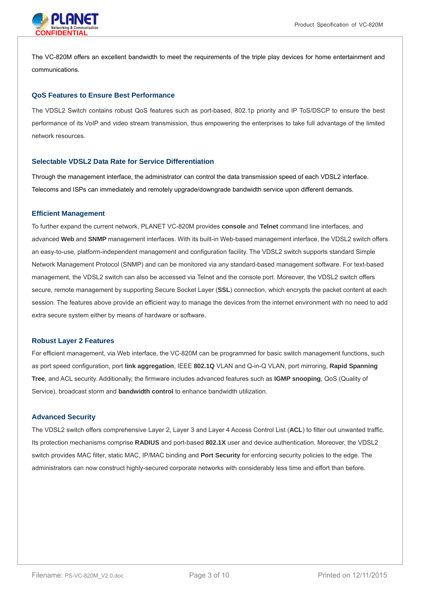

The VC-820M offers an excellent bandwidth to meet the requirements of the triple play devices for home entertainment and communications.

#### **QoS Features to Ensure Best Performance**

The VDSL2 Switch contains robust QoS features such as port-based, 802.1p priority and IP ToS/DSCP to ensure the best performance of its VoIP and video stream transmission, thus empowering the enterprises to take full advantage of the limited network resources.

#### **Selectable VDSL2 Data Rate for Service Differentiation**

Through the management interface, the administrator can control the data transmission speed of each VDSL2 interface. Telecoms and ISPs can immediately and remotely upgrade/downgrade bandwidth service upon different demands.

#### **Efficient Management**

To further expand the current network, PLANET VC-820M provides **console** and **Telnet** command line interfaces, and advanced **Web** and **SNMP** management interfaces. With its built-in Web-based management interface, the VDSL2 switch offers an easy-to-use, platform-independent management and configuration facility. The VDSL2 switch supports standard Simple Network Management Protocol (SNMP) and can be monitored via any standard-based management software. For text-based management, the VDSL2 switch can also be accessed via Telnet and the console port. Moreover, the VDSL2 switch offers secure, remote management by supporting Secure Socket Layer (**SSL**) connection, which encrypts the packet content at each session. The features above provide an efficient way to manage the devices from the internet environment with no need to add extra secure system either by means of hardware or software.

#### **Robust Layer 2 Features**

For efficient management, via Web interface, the VC-820M can be programmed for basic switch management functions, such as port speed configuration, port **link aggregation**, IEEE **802.1Q** VLAN and Q-in-Q VLAN, port mirroring, **Rapid Spanning Tree**, and ACL security. Additionally, the firmware includes advanced features such as **IGMP snooping**, QoS (Quality of Service), broadcast storm and **bandwidth control** to enhance bandwidth utilization.

#### **Advanced Security**

The VDSL2 switch offers comprehensive Layer 2, Layer 3 and Layer 4 Access Control List (**ACL**) to filter out unwanted traffic. Its protection mechanisms comprise **RADIUS** and port-based **802.1X** user and device authentication. Moreover, the VDSL2 switch provides MAC filter, static MAC, IP/MAC binding and **Port Security** for enforcing security policies to the edge. The administrators can now construct highly-secured corporate networks with considerably less time and effort than before.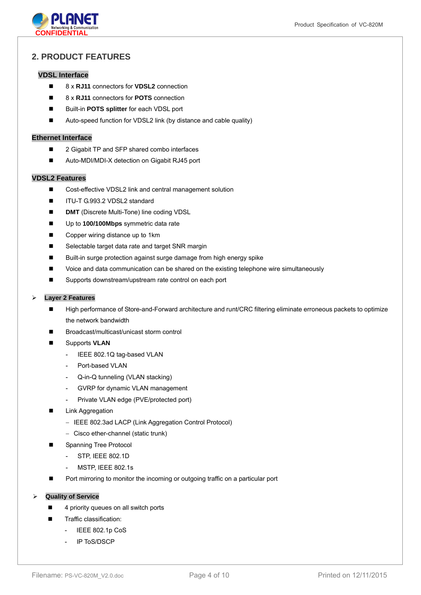

## **2. PRODUCT FEATURES**

#### **VDSL Interface**

- 8 x **RJ11** connectors for **VDSL2** connection
- 8 x **RJ11** connectors for **POTS** connection
- Built-in **POTS splitter** for each VDSL port
- Auto-speed function for VDSL2 link (by distance and cable quality)

#### **Ethernet Interface**

- 2 Gigabit TP and SFP shared combo interfaces
- Auto-MDI/MDI-X detection on Gigabit RJ45 port

#### **VDSL2 Features**

- Cost-effective VDSL2 link and central management solution
- ITU-T G.993.2 VDSL2 standard
- **DMT** (Discrete Multi-Tone) line coding VDSL
- Up to **100/100Mbps** symmetric data rate
- Copper wiring distance up to 1km
- Selectable target data rate and target SNR margin
- Built-in surge protection against surge damage from high energy spike
- **Data Constants Voice and data communication can be shared on the existing telephone wire simultaneously**
- Supports downstream/upstream rate control on each port

#### **Layer 2 Features**

- High performance of Store-and-Forward architecture and runt/CRC filtering eliminate erroneous packets to optimize the network bandwidth
- Broadcast/multicast/unicast storm control
- Supports **VLAN**
	- IEEE 802.1Q tag-based VLAN
	- Port-based VI AN
	- Q-in-Q tunneling (VLAN stacking)
	- GVRP for dynamic VLAN management
	- Private VLAN edge (PVE/protected port)
- Link Aggregation
	- IEEE 802.3ad LACP (Link Aggregation Control Protocol)
	- Cisco ether-channel (static trunk)
	- Spanning Tree Protocol
	- STP, IEEE 802.1D
		- MSTP, IEEE 802.1s
- **Port mirroring to monitor the incoming or outgoing traffic on a particular port**

**Quality of Service** 

- 4 priority queues on all switch ports
- **Traffic classification:** 
	- IEEE 802.1p CoS
	- IP ToS/DSCP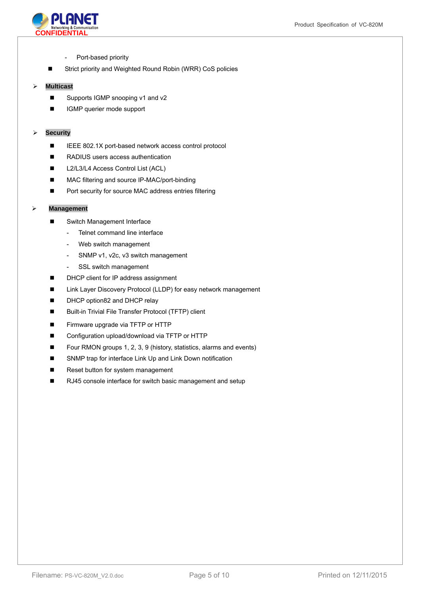

- Port-based priority
- Strict priority and Weighted Round Robin (WRR) CoS policies

#### **Multicast**

- Supports IGMP snooping v1 and v2
- IGMP querier mode support

#### **Security**

- IEEE 802.1X port-based network access control protocol
- RADIUS users access authentication
- L2/L3/L4 Access Control List (ACL)
- MAC filtering and source IP-MAC/port-binding
- Port security for source MAC address entries filtering

#### **Management**

- Switch Management Interface
	- Telnet command line interface
	- Web switch management
	- SNMP v1, v2c, v3 switch management
	- SSL switch management
- DHCP client for IP address assignment
- Link Layer Discovery Protocol (LLDP) for easy network management
- DHCP option82 and DHCP relay
- Built-in Trivial File Transfer Protocol (TFTP) client
- **Firmware upgrade via TFTP or HTTP**
- Configuration upload/download via TFTP or HTTP
- Four RMON groups 1, 2, 3, 9 (history, statistics, alarms and events)
- SNMP trap for interface Link Up and Link Down notification
- Reset button for system management
- RJ45 console interface for switch basic management and setup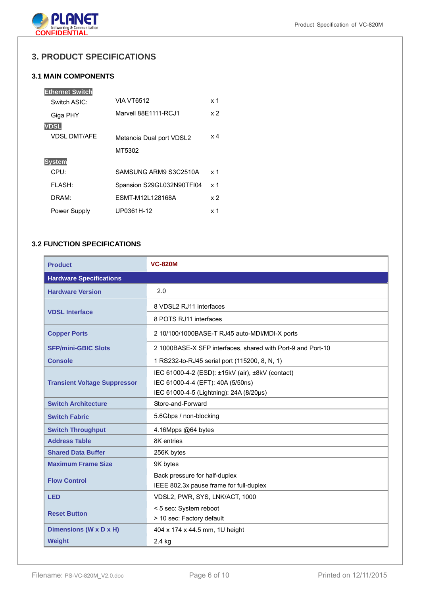

## **3. PRODUCT SPECIFICATIONS**

## **3.1 MAIN COMPONENTS**

| <b>VIA VT6512</b>         | x 1        |
|---------------------------|------------|
| Marvell 88E1111-RCJ1      | x 2        |
|                           |            |
| Metanoia Dual port VDSL2  | $\times 4$ |
| MT5302                    |            |
|                           |            |
| SAMSUNG ARM9 S3C2510A     | x 1        |
| Spansion S29GL032N90TFI04 | x 1        |
| FSMT-M12L128168A          | x 2        |
| UP0361H-12                | $\times$ 1 |
|                           |            |

## **3.2 FUNCTION SPECIFICATIONS**

| <b>Product</b>                      | <b>VC-820M</b>                                              |  |
|-------------------------------------|-------------------------------------------------------------|--|
| <b>Hardware Specifications</b>      |                                                             |  |
| <b>Hardware Version</b>             | 2.0                                                         |  |
| <b>VDSL Interface</b>               | 8 VDSL2 RJ11 interfaces                                     |  |
|                                     | 8 POTS RJ11 interfaces                                      |  |
| <b>Copper Ports</b>                 | 2 10/100/1000BASE-T RJ45 auto-MDI/MDI-X ports               |  |
| <b>SFP/mini-GBIC Slots</b>          | 2 1000BASE-X SFP interfaces, shared with Port-9 and Port-10 |  |
| <b>Console</b>                      | 1 RS232-to-RJ45 serial port (115200, 8, N, 1)               |  |
|                                     | IEC 61000-4-2 (ESD): ±15kV (air), ±8kV (contact)            |  |
| <b>Transient Voltage Suppressor</b> | IEC 61000-4-4 (EFT): 40A (5/50ns)                           |  |
|                                     | IEC 61000-4-5 (Lightning): 24A (8/20µs)                     |  |
| <b>Switch Architecture</b>          | Store-and-Forward                                           |  |
| <b>Switch Fabric</b>                | 5.6Gbps / non-blocking                                      |  |
| <b>Switch Throughput</b>            | 4.16Mpps @64 bytes                                          |  |
| <b>Address Table</b>                | 8K entries                                                  |  |
| <b>Shared Data Buffer</b>           | 256K bytes                                                  |  |
| <b>Maximum Frame Size</b>           | 9K bytes                                                    |  |
| <b>Flow Control</b>                 | Back pressure for half-duplex                               |  |
|                                     | IEEE 802.3x pause frame for full-duplex                     |  |
| <b>LED</b>                          | VDSL2, PWR, SYS, LNK/ACT, 1000                              |  |
| <b>Reset Button</b>                 | < 5 sec: System reboot                                      |  |
|                                     | > 10 sec: Factory default                                   |  |
| Dimensions (W x D x H)              | 404 x 174 x 44.5 mm, 1U height                              |  |
| <b>Weight</b>                       | 2.4 kg                                                      |  |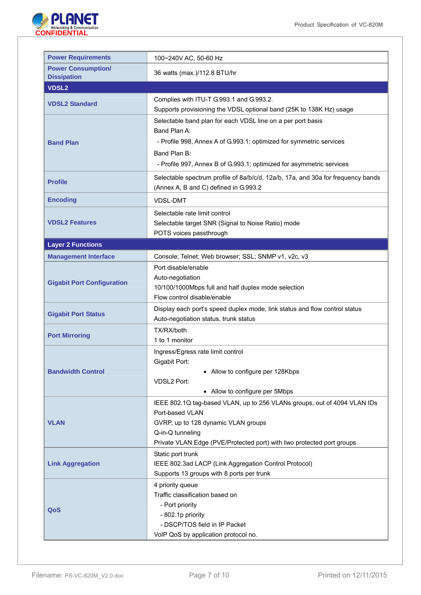

| <b>Power Requirements</b>                       | 100~240V AC, 50-60 Hz                                                                                                                                                                                                                      |
|-------------------------------------------------|--------------------------------------------------------------------------------------------------------------------------------------------------------------------------------------------------------------------------------------------|
| <b>Power Consumption/</b><br><b>Dissipation</b> | 36 watts (max.)/112.8 BTU/hr                                                                                                                                                                                                               |
| <b>VDSL2</b>                                    |                                                                                                                                                                                                                                            |
| <b>VDSL2 Standard</b>                           | Complies with ITU-T G.993.1 and G.993.2.<br>Supports provisioning the VDSL optional band (25K to 138K Hz) usage                                                                                                                            |
| <b>Band Plan</b>                                | Selectable band plan for each VDSL line on a per port basis<br>Band Plan A:<br>- Profile 998, Annex A of G.993.1; optimized for symmetric services<br>Band Plan B:<br>- Profile 997, Annex B of G.993.1; optimized for asymmetric services |
| <b>Profile</b>                                  | Selectable spectrum profile of 8a/b/c/d, 12a/b, 17a, and 30a for frequency bands<br>(Annex A, B and C) defined in G.993.2                                                                                                                  |
| <b>Encoding</b>                                 | <b>VDSL-DMT</b>                                                                                                                                                                                                                            |
| <b>VDSL2 Features</b>                           | Selectable rate limit control<br>Selectable target SNR (Signal to Noise Ratio) mode<br>POTS voices passthrough                                                                                                                             |
| <b>Layer 2 Functions</b>                        |                                                                                                                                                                                                                                            |
| <b>Management Interface</b>                     | Console; Telnet; Web browser; SSL; SNMP v1, v2c, v3                                                                                                                                                                                        |
| <b>Gigabit Port Configuration</b>               | Port disable/enable<br>Auto-negotiation<br>10/100/1000Mbps full and half duplex mode selection<br>Flow control disable/enable                                                                                                              |
| <b>Gigabit Port Status</b>                      | Display each port's speed duplex mode, link status and flow control status<br>Auto-negotiation status, trunk status                                                                                                                        |
| <b>Port Mirroring</b>                           | TX/RX/both<br>1 to 1 monitor                                                                                                                                                                                                               |
| <b>Bandwidth Control</b>                        | Ingress/Egress rate limit control<br>Gigabit Port:<br>• Allow to configure per 128Kbps<br>VDSL2 Port:<br>• Allow to configure per 5Mbps                                                                                                    |
| <b>VLAN</b>                                     | IEEE 802.1Q tag-based VLAN, up to 256 VLANs groups, out of 4094 VLAN IDs<br>Port-based VLAN<br>GVRP, up to 128 dynamic VLAN groups<br>Q-in-Q tunneling<br>Private VLAN Edge (PVE/Protected port) with two protected port groups            |
| <b>Link Aggregation</b>                         | Static port trunk<br>IEEE 802.3ad LACP (Link Aggregation Control Protocol)<br>Supports 13 groups with 8 ports per trunk                                                                                                                    |
| QoS                                             | 4 priority queue<br>Traffic classification based on<br>- Port priority<br>- 802.1p priority<br>- DSCP/TOS field in IP Packet<br>VoIP QoS by application protocol no.                                                                       |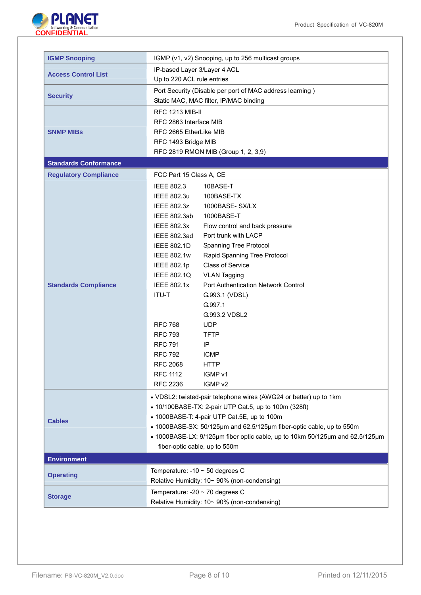

| <b>IGMP Snooping</b>         |                                                                                                               | IGMP (v1, v2) Snooping, up to 256 multicast groups       |  |
|------------------------------|---------------------------------------------------------------------------------------------------------------|----------------------------------------------------------|--|
|                              | IP-based Layer 3/Layer 4 ACL                                                                                  |                                                          |  |
| <b>Access Control List</b>   | Up to 220 ACL rule entries                                                                                    |                                                          |  |
|                              |                                                                                                               | Port Security (Disable per port of MAC address learning) |  |
| <b>Security</b>              |                                                                                                               | Static MAC, MAC filter, IP/MAC binding                   |  |
|                              | <b>RFC 1213 MIB-II</b>                                                                                        |                                                          |  |
|                              |                                                                                                               |                                                          |  |
|                              | RFC 2863 Interface MIB                                                                                        |                                                          |  |
| <b>SNMP MIBS</b>             | RFC 2665 EtherLike MIB                                                                                        |                                                          |  |
|                              | RFC 1493 Bridge MIB                                                                                           |                                                          |  |
|                              |                                                                                                               | RFC 2819 RMON MIB (Group 1, 2, 3,9)                      |  |
| <b>Standards Conformance</b> |                                                                                                               |                                                          |  |
| <b>Regulatory Compliance</b> | FCC Part 15 Class A, CE                                                                                       |                                                          |  |
|                              | <b>IEEE 802.3</b>                                                                                             | 10BASE-T                                                 |  |
|                              | IEEE 802.3u                                                                                                   | 100BASE-TX                                               |  |
|                              | <b>IEEE 802.3z</b>                                                                                            | 1000BASE-SX/LX                                           |  |
|                              | IEEE 802.3ab                                                                                                  | 1000BASE-T                                               |  |
|                              | <b>IEEE 802.3x</b>                                                                                            | Flow control and back pressure                           |  |
|                              | IEEE 802.3ad                                                                                                  | Port trunk with LACP                                     |  |
|                              | <b>IEEE 802.1D</b>                                                                                            | Spanning Tree Protocol                                   |  |
|                              | <b>IEEE 802.1w</b>                                                                                            | Rapid Spanning Tree Protocol                             |  |
|                              | <b>IEEE 802.1p</b>                                                                                            | <b>Class of Service</b>                                  |  |
|                              | <b>IEEE 802.1Q</b>                                                                                            | <b>VLAN Tagging</b>                                      |  |
| <b>Standards Compliance</b>  | <b>IEEE 802.1x</b>                                                                                            | <b>Port Authentication Network Control</b>               |  |
|                              | <b>ITU-T</b>                                                                                                  | G.993.1 (VDSL)                                           |  |
|                              |                                                                                                               | G.997.1                                                  |  |
|                              |                                                                                                               | G.993.2 VDSL2                                            |  |
|                              | <b>RFC 768</b>                                                                                                | <b>UDP</b>                                               |  |
|                              | <b>RFC 793</b>                                                                                                | <b>TFTP</b>                                              |  |
|                              | <b>RFC 791</b>                                                                                                | IP                                                       |  |
|                              | <b>RFC 792</b>                                                                                                | <b>ICMP</b>                                              |  |
|                              | <b>RFC 2068</b>                                                                                               | <b>HTTP</b>                                              |  |
|                              | <b>RFC 1112</b>                                                                                               | IGMP v1                                                  |  |
|                              | <b>RFC 2236</b>                                                                                               | IGMP v2                                                  |  |
|                              |                                                                                                               |                                                          |  |
|                              | • VDSL2: twisted-pair telephone wires (AWG24 or better) up to 1km                                             |                                                          |  |
|                              | • 10/100BASE-TX: 2-pair UTP Cat.5, up to 100m (328ft)                                                         |                                                          |  |
| <b>Cables</b>                | • 1000BASE-T: 4-pair UTP Cat.5E, up to 100m                                                                   |                                                          |  |
|                              | • 1000BASE-SX: 50/125µm and 62.5/125µm fiber-optic cable, up to 550m                                          |                                                          |  |
|                              | • 1000BASE-LX: 9/125µm fiber optic cable, up to 10km 50/125µm and 62.5/125µm<br>fiber-optic cable, up to 550m |                                                          |  |
|                              |                                                                                                               |                                                          |  |
| <b>Environment</b>           |                                                                                                               |                                                          |  |
| <b>Operating</b>             | Temperature: -10 $\sim$ 50 degrees C                                                                          |                                                          |  |
|                              |                                                                                                               | Relative Humidity: 10~ 90% (non-condensing)              |  |
| <b>Storage</b>               | Temperature: -20 $\sim$ 70 degrees C                                                                          |                                                          |  |
|                              | Relative Humidity: 10~ 90% (non-condensing)                                                                   |                                                          |  |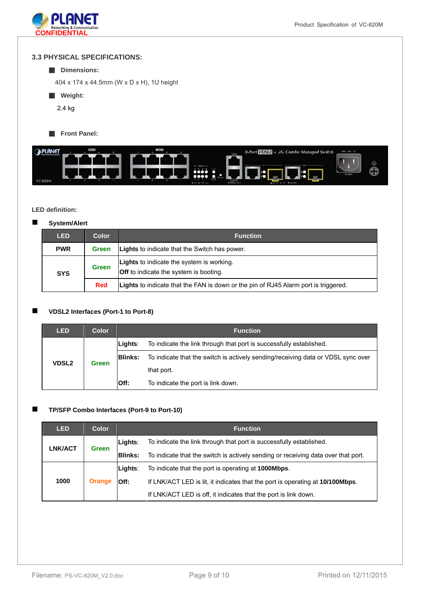

#### **3.3 PHYSICAL SPECIFICATIONS:**

#### ■ **Dimensions:**

404 x 174 x 44.5mm (W x D x H), 1U height

- **Weight:** 
	- 2.4 kg
- **Front Panel:**



#### **LED definition:**

#### **System/Alert**

| <b>LED</b> | <b>Color</b> | <b>Function</b>                                                                                   |  |
|------------|--------------|---------------------------------------------------------------------------------------------------|--|
| <b>PWR</b> | <b>Green</b> | <b>Lights</b> to indicate that the Switch has power.                                              |  |
| <b>SYS</b> | <b>Green</b> | <b>Lights</b> to indicate the system is working.<br><b>Off</b> to indicate the system is booting. |  |
|            | <b>Red</b>   | Lights to indicate that the FAN is down or the pin of RJ45 Alarm port is triggered.               |  |

#### **VDSL2 Interfaces (Port-1 to Port-8)**

| <b>LED</b>                   | Color | <b>Function</b> |                                                                                  |  |  |
|------------------------------|-------|-----------------|----------------------------------------------------------------------------------|--|--|
| <b>VDSL2</b><br><b>Green</b> |       | Lights:         | To indicate the link through that port is successfully established.              |  |  |
|                              |       | <b>IBlinks:</b> | To indicate that the switch is actively sending/receiving data or VDSL sync over |  |  |
|                              |       |                 | that port.                                                                       |  |  |
|                              |       | Off:            | To indicate the port is link down.                                               |  |  |

#### **TP/SFP Combo Interfaces (Port-9 to Port-10)**

| <b>LED</b>     | <b>Color</b>  | <b>Function</b> |                                                                                   |  |
|----------------|---------------|-----------------|-----------------------------------------------------------------------------------|--|
| <b>LNK/ACT</b> | <b>Green</b>  | Lights:         | To indicate the link through that port is successfully established.               |  |
|                |               | <b>Blinks:</b>  | To indicate that the switch is actively sending or receiving data over that port. |  |
| 1000           | <b>Orange</b> | Lights:         | To indicate that the port is operating at <b>1000Mbps</b> .                       |  |
|                |               | Off:            | If LNK/ACT LED is lit, it indicates that the port is operating at 10/100Mbps.     |  |
|                |               |                 | If LNK/ACT LED is off, it indicates that the port is link down.                   |  |